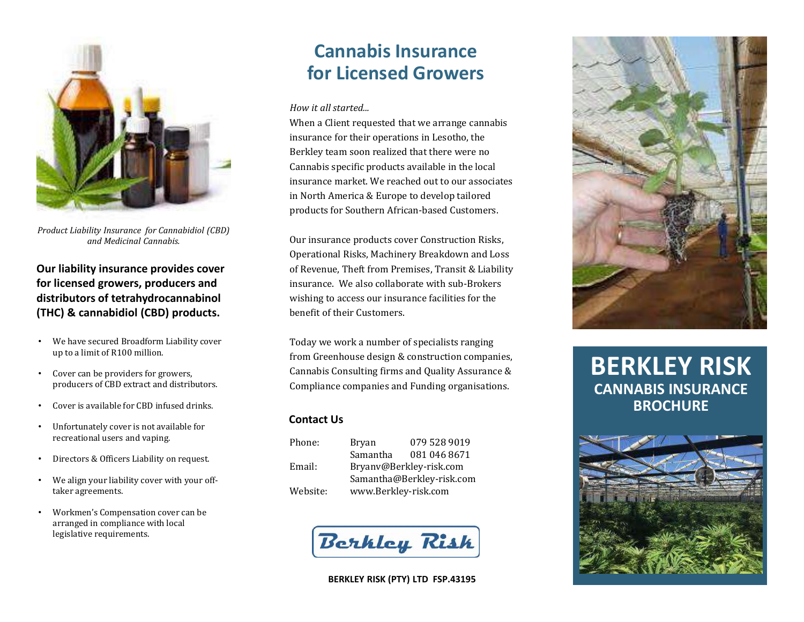

*Product Liability Insurance for Cannabidiol (CBD) and Medicinal Cannabis.*

**Our liability insurance provides cover for licensed growers, producers and distributors of tetrahydrocannabinol (THC) & cannabidiol (CBD) products.**

- We have secured Broadform Liability cover up to a limit of R100 million.
- Cover can be providers for growers, producers of CBD extract and distributors.
- Cover is available for CBD infused drinks.
- Unfortunately cover is not available for recreational users and vaping.
- Directors & Officers Liability on request.
- We align your liability cover with your offtaker agreements.
- Workmen's Compensation cover can be arranged in compliance with local legislative requirements.

# **Cannabis Insurance for Licensed Growers**

#### *How it all started...*

When a Client requested that we arrange cannabis insurance for their operations in Lesotho, the Berkley team soon realized that there were no Cannabis specific products available in the local insurance market. We reached out to our associates in North America & Europe to develop tailored products for Southern African-based Customers.

Our insurance products cover Construction Risks, Operational Risks, Machinery Breakdown and Loss of Revenue, Theft from Premises, Transit & Liability insurance. We also collaborate with sub-Brokers wishing to access our insurance facilities for the benefit of their Customers.

Today we work a number of specialists ranging from Greenhouse design & construction companies, Cannabis Consulting firms and Quality Assurance & Compliance companies and Funding organisations.

## **Contact Us**

| Phone:   | Bryan                     | 079 528 9019 |
|----------|---------------------------|--------------|
|          | Samantha                  | 081 046 8671 |
| Email:   | Bryanv@Berkley-risk.com   |              |
|          | Samantha@Berkley-risk.com |              |
| Website: | www.Berkley-risk.com      |              |







# **BERKLEY RISK CANNABIS INSURANCE BROCHURE**